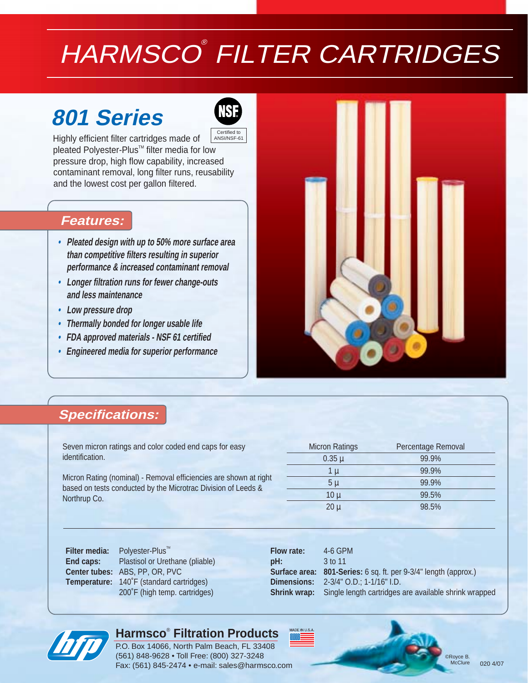# HARMSCO® FILTER CARTRIDGES

# **801 Series**



Highly efficient filter cartridges made of pleated Polyester-Plus<sup>™</sup> filter media for low pressure drop, high flow capability, increased contaminant removal, long filter runs, reusability and the lowest cost per gallon filtered. Certified to ANSI/NSF-61

## **Features:**

- **• Pleated design with up to 50% more surface area than competitive filters resulting in superior performance & increased contaminant removal**
- **• Longer filtration runs for fewer change-outs and less maintenance**
- **• Low pressure drop**
- **• Thermally bonded for longer usable life**
- **• FDA approved materials NSF 61 certified**
- **• Engineered media for superior performance**



# **Specifications:**

Seven micron ratings and color coded end caps for easy identification.

Micron Rating (nominal) - Removal efficiencies are shown at right based on tests conducted by the Microtrac Division of Leeds & Northrup Co.

| <b>Micron Ratings</b> | Percentage Removal |  |  |  |
|-----------------------|--------------------|--|--|--|
| $0.35 \mu$            | 99.9%              |  |  |  |
| 1 µ                   | 99.9%              |  |  |  |
| 5 µ                   | 99.9%              |  |  |  |
| 10 <sub>µ</sub>       | 99.5%              |  |  |  |
| $20 \mu$              | 98.5%              |  |  |  |

**Filter media:** Polyester-Plus<sup>™</sup>

**End caps:** Plastisol or Urethane (pliable) **Center tubes:** ABS, PP, OR, PVC **Temperature:** 140˚F (standard cartridges) 200˚F (high temp. cartridges)

| <b>Flow rate:</b>   | $4-6$ GPM                                                              |
|---------------------|------------------------------------------------------------------------|
| $pH$ :              | $3$ to 11                                                              |
|                     | <b>Surface area: 801-Series:</b> 6 sq. ft. per 9-3/4" length (approx.) |
|                     | <b>Dimensions:</b> 2-3/4" O.D.; 1-1/16" I.D.                           |
| <b>Shrink wrap:</b> | Single length cartridges are available shrink wrapped                  |
|                     |                                                                        |

## **Harmsco**®  **Filtration Products**

P.O. Box 14066, North Palm Beach, FL 33408 (561) 848-9628 • Toll Free: (800) 327-3248 Fax: (561) 845-2474 • e-mail: sales@harmsco.com